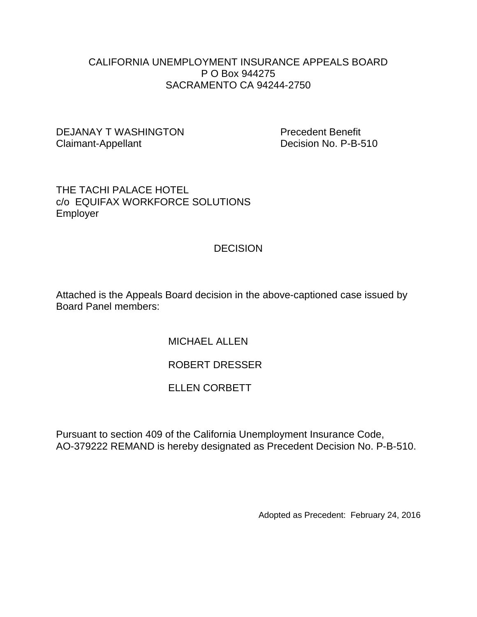#### CALIFORNIA UNEMPLOYMENT INSURANCE APPEALS BOARD P O Box 944275 SACRAMENTO CA 94244-2750

#### DEJANAY T WASHINGTON Precedent Benefit Claimant-Appellant Decision No. P-B-510

#### THE TACHI PALACE HOTEL c/o EQUIFAX WORKFORCE SOLUTIONS Employer

# **DECISION**

Attached is the Appeals Board decision in the above-captioned case issued by Board Panel members:

MICHAEL ALLEN

# ROBERT DRESSER

## ELLEN CORBETT

Pursuant to section 409 of the California Unemployment Insurance Code, AO-379222 REMAND is hereby designated as Precedent Decision No. P-B-510.

Adopted as Precedent: February 24, 2016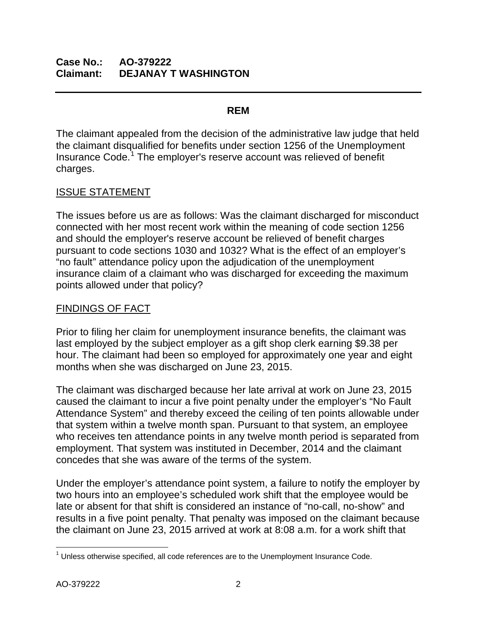## **Case No.: AO-379222 Claimant: DEJANAY T WASHINGTON**

### **REM**

The claimant appealed from the decision of the administrative law judge that held the claimant disqualified for benefits under section 1256 of the Unemployment Insurance Code.<sup>[1](#page-1-0)</sup> The employer's reserve account was relieved of benefit charges.

## ISSUE STATEMENT

The issues before us are as follows: Was the claimant discharged for misconduct connected with her most recent work within the meaning of code section 1256 and should the employer's reserve account be relieved of benefit charges pursuant to code sections 1030 and 1032? What is the effect of an employer's "no fault" attendance policy upon the adjudication of the unemployment insurance claim of a claimant who was discharged for exceeding the maximum points allowed under that policy?

### FINDINGS OF FACT

Prior to filing her claim for unemployment insurance benefits, the claimant was last employed by the subject employer as a gift shop clerk earning \$9.38 per hour. The claimant had been so employed for approximately one year and eight months when she was discharged on June 23, 2015.

The claimant was discharged because her late arrival at work on June 23, 2015 caused the claimant to incur a five point penalty under the employer's "No Fault Attendance System" and thereby exceed the ceiling of ten points allowable under that system within a twelve month span. Pursuant to that system, an employee who receives ten attendance points in any twelve month period is separated from employment. That system was instituted in December, 2014 and the claimant concedes that she was aware of the terms of the system.

Under the employer's attendance point system, a failure to notify the employer by two hours into an employee's scheduled work shift that the employee would be late or absent for that shift is considered an instance of "no-call, no-show" and results in a five point penalty. That penalty was imposed on the claimant because the claimant on June 23, 2015 arrived at work at 8:08 a.m. for a work shift that

<span id="page-1-0"></span> $\overline{\phantom{a}}$  $1$  Unless otherwise specified, all code references are to the Unemployment Insurance Code.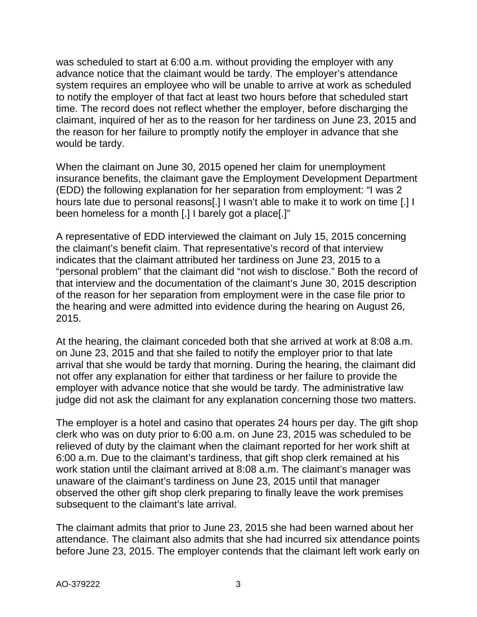was scheduled to start at 6:00 a.m. without providing the employer with any advance notice that the claimant would be tardy. The employer's attendance system requires an employee who will be unable to arrive at work as scheduled to notify the employer of that fact at least two hours before that scheduled start time. The record does not reflect whether the employer, before discharging the claimant, inquired of her as to the reason for her tardiness on June 23, 2015 and the reason for her failure to promptly notify the employer in advance that she would be tardy.

When the claimant on June 30, 2015 opened her claim for unemployment insurance benefits, the claimant gave the Employment Development Department (EDD) the following explanation for her separation from employment: "I was 2 hours late due to personal reasons[.] I wasn't able to make it to work on time [.] I been homeless for a month [.] I barely got a place[.]"

A representative of EDD interviewed the claimant on July 15, 2015 concerning the claimant's benefit claim. That representative's record of that interview indicates that the claimant attributed her tardiness on June 23, 2015 to a "personal problem" that the claimant did "not wish to disclose." Both the record of that interview and the documentation of the claimant's June 30, 2015 description of the reason for her separation from employment were in the case file prior to the hearing and were admitted into evidence during the hearing on August 26, 2015.

At the hearing, the claimant conceded both that she arrived at work at 8:08 a.m. on June 23, 2015 and that she failed to notify the employer prior to that late arrival that she would be tardy that morning. During the hearing, the claimant did not offer any explanation for either that tardiness or her failure to provide the employer with advance notice that she would be tardy. The administrative law judge did not ask the claimant for any explanation concerning those two matters.

The employer is a hotel and casino that operates 24 hours per day. The gift shop clerk who was on duty prior to 6:00 a.m. on June 23, 2015 was scheduled to be relieved of duty by the claimant when the claimant reported for her work shift at 6:00 a.m. Due to the claimant's tardiness, that gift shop clerk remained at his work station until the claimant arrived at 8:08 a.m. The claimant's manager was unaware of the claimant's tardiness on June 23, 2015 until that manager observed the other gift shop clerk preparing to finally leave the work premises subsequent to the claimant's late arrival.

The claimant admits that prior to June 23, 2015 she had been warned about her attendance. The claimant also admits that she had incurred six attendance points before June 23, 2015. The employer contends that the claimant left work early on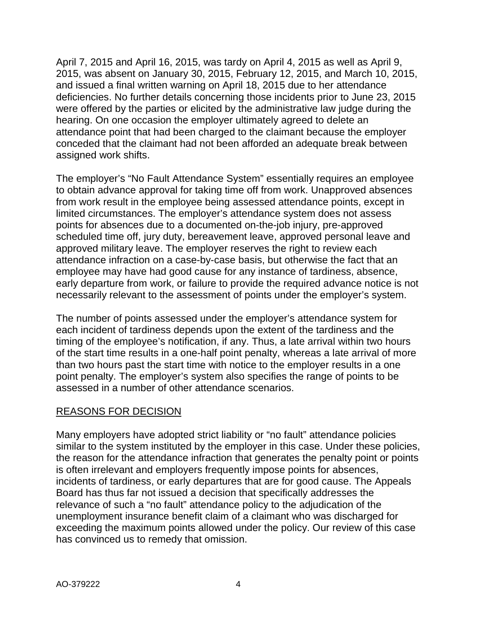April 7, 2015 and April 16, 2015, was tardy on April 4, 2015 as well as April 9, 2015, was absent on January 30, 2015, February 12, 2015, and March 10, 2015, and issued a final written warning on April 18, 2015 due to her attendance deficiencies. No further details concerning those incidents prior to June 23, 2015 were offered by the parties or elicited by the administrative law judge during the hearing. On one occasion the employer ultimately agreed to delete an attendance point that had been charged to the claimant because the employer conceded that the claimant had not been afforded an adequate break between assigned work shifts.

The employer's "No Fault Attendance System" essentially requires an employee to obtain advance approval for taking time off from work. Unapproved absences from work result in the employee being assessed attendance points, except in limited circumstances. The employer's attendance system does not assess points for absences due to a documented on-the-job injury, pre-approved scheduled time off, jury duty, bereavement leave, approved personal leave and approved military leave. The employer reserves the right to review each attendance infraction on a case-by-case basis, but otherwise the fact that an employee may have had good cause for any instance of tardiness, absence, early departure from work, or failure to provide the required advance notice is not necessarily relevant to the assessment of points under the employer's system.

The number of points assessed under the employer's attendance system for each incident of tardiness depends upon the extent of the tardiness and the timing of the employee's notification, if any. Thus, a late arrival within two hours of the start time results in a one-half point penalty, whereas a late arrival of more than two hours past the start time with notice to the employer results in a one point penalty. The employer's system also specifies the range of points to be assessed in a number of other attendance scenarios.

#### REASONS FOR DECISION

Many employers have adopted strict liability or "no fault" attendance policies similar to the system instituted by the employer in this case. Under these policies, the reason for the attendance infraction that generates the penalty point or points is often irrelevant and employers frequently impose points for absences, incidents of tardiness, or early departures that are for good cause. The Appeals Board has thus far not issued a decision that specifically addresses the relevance of such a "no fault" attendance policy to the adjudication of the unemployment insurance benefit claim of a claimant who was discharged for exceeding the maximum points allowed under the policy. Our review of this case has convinced us to remedy that omission.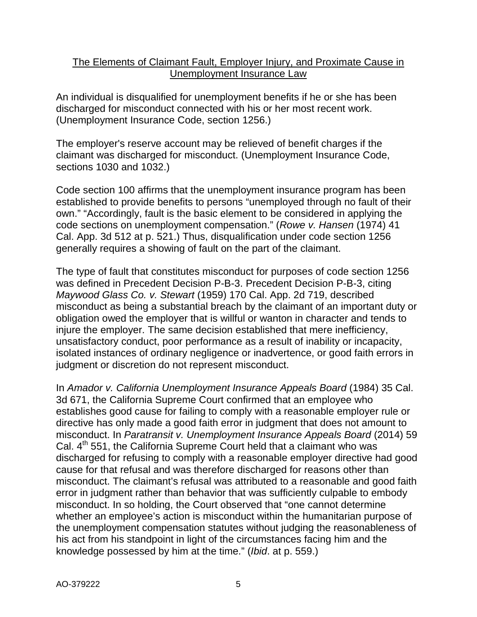## The Elements of Claimant Fault, Employer Injury, and Proximate Cause in Unemployment Insurance Law

An individual is disqualified for unemployment benefits if he or she has been discharged for misconduct connected with his or her most recent work. (Unemployment Insurance Code, section 1256.)

The employer's reserve account may be relieved of benefit charges if the claimant was discharged for misconduct. (Unemployment Insurance Code, sections 1030 and 1032.)

Code section 100 affirms that the unemployment insurance program has been established to provide benefits to persons "unemployed through no fault of their own." "Accordingly, fault is the basic element to be considered in applying the code sections on unemployment compensation." (*Rowe v. Hansen* (1974) 41 Cal. App. 3d 512 at p. 521.) Thus, disqualification under code section 1256 generally requires a showing of fault on the part of the claimant.

The type of fault that constitutes misconduct for purposes of code section 1256 was defined in Precedent Decision P-B-3. Precedent Decision P-B-3, citing *Maywood Glass Co. v. Stewart* (1959) 170 Cal. App. 2d 719, described misconduct as being a substantial breach by the claimant of an important duty or obligation owed the employer that is willful or wanton in character and tends to injure the employer. The same decision established that mere inefficiency, unsatisfactory conduct, poor performance as a result of inability or incapacity, isolated instances of ordinary negligence or inadvertence, or good faith errors in judgment or discretion do not represent misconduct.

In *Amador v. California Unemployment Insurance Appeals Board* (1984) 35 Cal. 3d 671, the California Supreme Court confirmed that an employee who establishes good cause for failing to comply with a reasonable employer rule or directive has only made a good faith error in judgment that does not amount to misconduct. In *Paratransit v. Unemployment Insurance Appeals Board* (2014) 59 Cal. 4<sup>th</sup> 551, the California Supreme Court held that a claimant who was discharged for refusing to comply with a reasonable employer directive had good cause for that refusal and was therefore discharged for reasons other than misconduct. The claimant's refusal was attributed to a reasonable and good faith error in judgment rather than behavior that was sufficiently culpable to embody misconduct. In so holding, the Court observed that "one cannot determine whether an employee's action is misconduct within the humanitarian purpose of the unemployment compensation statutes without judging the reasonableness of his act from his standpoint in light of the circumstances facing him and the knowledge possessed by him at the time." (*Ibid*. at p. 559.)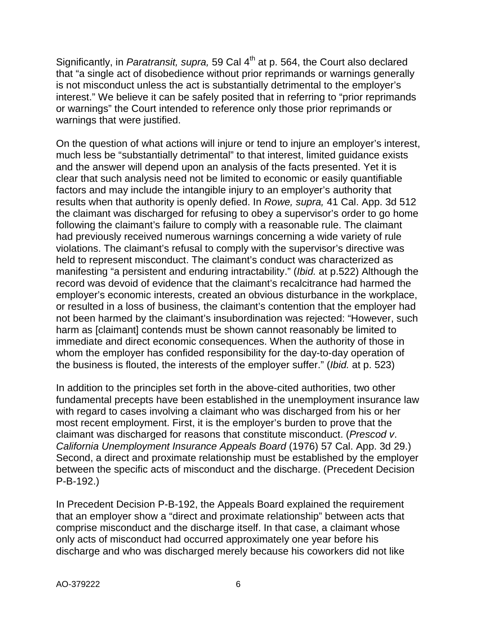Significantly, in *Paratransit, supra,* 59 Cal 4<sup>th</sup> at p. 564, the Court also declared that "a single act of disobedience without prior reprimands or warnings generally is not misconduct unless the act is substantially detrimental to the employer's interest." We believe it can be safely posited that in referring to "prior reprimands or warnings" the Court intended to reference only those prior reprimands or warnings that were justified.

On the question of what actions will injure or tend to injure an employer's interest, much less be "substantially detrimental" to that interest, limited guidance exists and the answer will depend upon an analysis of the facts presented. Yet it is clear that such analysis need not be limited to economic or easily quantifiable factors and may include the intangible injury to an employer's authority that results when that authority is openly defied. In *Rowe, supra,* 41 Cal. App. 3d 512 the claimant was discharged for refusing to obey a supervisor's order to go home following the claimant's failure to comply with a reasonable rule. The claimant had previously received numerous warnings concerning a wide variety of rule violations. The claimant's refusal to comply with the supervisor's directive was held to represent misconduct. The claimant's conduct was characterized as manifesting "a persistent and enduring intractability." (*Ibid.* at p.522) Although the record was devoid of evidence that the claimant's recalcitrance had harmed the employer's economic interests, created an obvious disturbance in the workplace, or resulted in a loss of business, the claimant's contention that the employer had not been harmed by the claimant's insubordination was rejected: "However, such harm as [claimant] contends must be shown cannot reasonably be limited to immediate and direct economic consequences. When the authority of those in whom the employer has confided responsibility for the day-to-day operation of the business is flouted, the interests of the employer suffer." (*Ibid.* at p. 523)

In addition to the principles set forth in the above-cited authorities, two other fundamental precepts have been established in the unemployment insurance law with regard to cases involving a claimant who was discharged from his or her most recent employment. First, it is the employer's burden to prove that the claimant was discharged for reasons that constitute misconduct. (*Prescod v*. *California Unemployment Insurance Appeals Board* (1976) 57 Cal. App. 3d 29.) Second, a direct and proximate relationship must be established by the employer between the specific acts of misconduct and the discharge. (Precedent Decision P-B-192.)

In Precedent Decision P-B-192, the Appeals Board explained the requirement that an employer show a "direct and proximate relationship" between acts that comprise misconduct and the discharge itself. In that case, a claimant whose only acts of misconduct had occurred approximately one year before his discharge and who was discharged merely because his coworkers did not like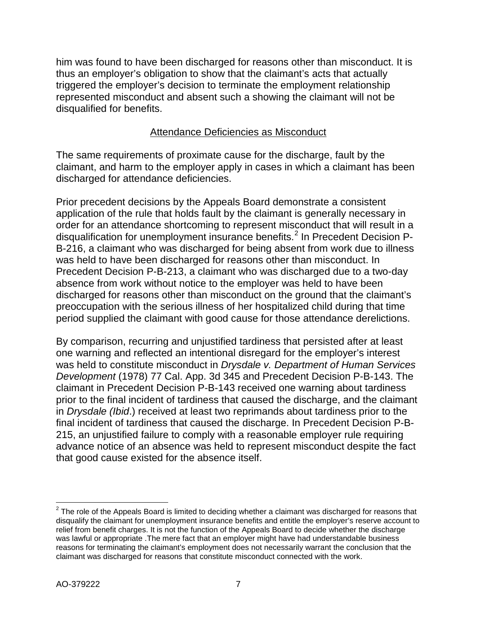him was found to have been discharged for reasons other than misconduct. It is thus an employer's obligation to show that the claimant's acts that actually triggered the employer's decision to terminate the employment relationship represented misconduct and absent such a showing the claimant will not be disqualified for benefits.

# Attendance Deficiencies as Misconduct

The same requirements of proximate cause for the discharge, fault by the claimant, and harm to the employer apply in cases in which a claimant has been discharged for attendance deficiencies.

Prior precedent decisions by the Appeals Board demonstrate a consistent application of the rule that holds fault by the claimant is generally necessary in order for an attendance shortcoming to represent misconduct that will result in a disqualification for unemployment insurance benefits.<sup>[2](#page-6-0)</sup> In Precedent Decision P-B-216, a claimant who was discharged for being absent from work due to illness was held to have been discharged for reasons other than misconduct. In Precedent Decision P-B-213, a claimant who was discharged due to a two-day absence from work without notice to the employer was held to have been discharged for reasons other than misconduct on the ground that the claimant's preoccupation with the serious illness of her hospitalized child during that time period supplied the claimant with good cause for those attendance derelictions.

By comparison, recurring and unjustified tardiness that persisted after at least one warning and reflected an intentional disregard for the employer's interest was held to constitute misconduct in *Drysdale v. Department of Human Services Development* (1978) 77 Cal. App. 3d 345 and Precedent Decision P-B-143. The claimant in Precedent Decision P-B-143 received one warning about tardiness prior to the final incident of tardiness that caused the discharge, and the claimant in *Drysdale (Ibid*.) received at least two reprimands about tardiness prior to the final incident of tardiness that caused the discharge. In Precedent Decision P-B-215, an unjustified failure to comply with a reasonable employer rule requiring advance notice of an absence was held to represent misconduct despite the fact that good cause existed for the absence itself.

<span id="page-6-0"></span> $\overline{a}$  $2$  The role of the Appeals Board is limited to deciding whether a claimant was discharged for reasons that disqualify the claimant for unemployment insurance benefits and entitle the employer's reserve account to relief from benefit charges. It is not the function of the Appeals Board to decide whether the discharge was lawful or appropriate .The mere fact that an employer might have had understandable business reasons for terminating the claimant's employment does not necessarily warrant the conclusion that the claimant was discharged for reasons that constitute misconduct connected with the work.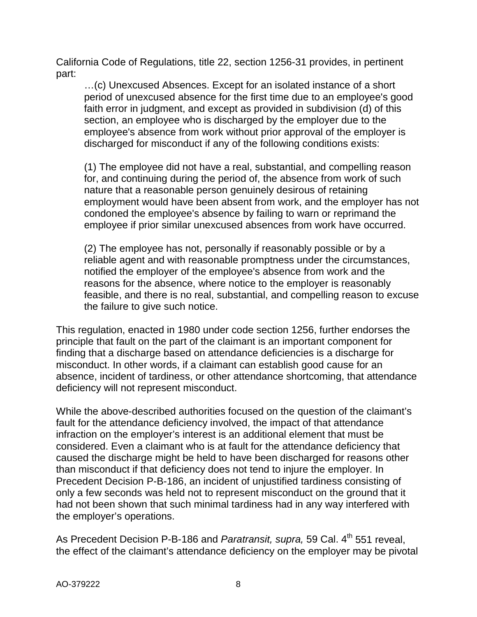California Code of Regulations, title 22, section 1256-31 provides, in pertinent part:

…(c) Unexcused Absences. Except for an isolated instance of a short period of unexcused absence for the first time due to an employee's good faith error in judgment, and except as provided in subdivision (d) of this section, an employee who is discharged by the employer due to the employee's absence from work without prior approval of the employer is discharged for misconduct if any of the following conditions exists:

(1) The employee did not have a real, substantial, and compelling reason for, and continuing during the period of, the absence from work of such nature that a reasonable person genuinely desirous of retaining employment would have been absent from work, and the employer has not condoned the employee's absence by failing to warn or reprimand the employee if prior similar unexcused absences from work have occurred.

(2) The employee has not, personally if reasonably possible or by a reliable agent and with reasonable promptness under the circumstances, notified the employer of the employee's absence from work and the reasons for the absence, where notice to the employer is reasonably feasible, and there is no real, substantial, and compelling reason to excuse the failure to give such notice.

This regulation, enacted in 1980 under code section 1256, further endorses the principle that fault on the part of the claimant is an important component for finding that a discharge based on attendance deficiencies is a discharge for misconduct. In other words, if a claimant can establish good cause for an absence, incident of tardiness, or other attendance shortcoming, that attendance deficiency will not represent misconduct.

While the above-described authorities focused on the question of the claimant's fault for the attendance deficiency involved, the impact of that attendance infraction on the employer's interest is an additional element that must be considered. Even a claimant who is at fault for the attendance deficiency that caused the discharge might be held to have been discharged for reasons other than misconduct if that deficiency does not tend to injure the employer. In Precedent Decision P-B-186, an incident of unjustified tardiness consisting of only a few seconds was held not to represent misconduct on the ground that it had not been shown that such minimal tardiness had in any way interfered with the employer's operations.

As Precedent Decision P-B-186 and *Paratransit, supra,* 59 Cal. 4<sup>th</sup> 551 reveal, the effect of the claimant's attendance deficiency on the employer may be pivotal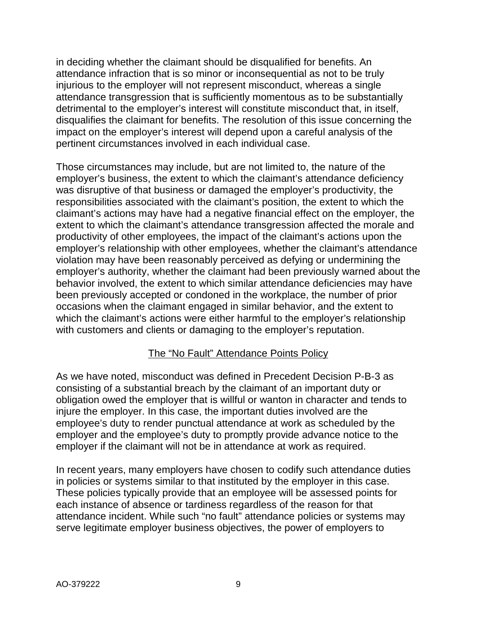in deciding whether the claimant should be disqualified for benefits. An attendance infraction that is so minor or inconsequential as not to be truly injurious to the employer will not represent misconduct, whereas a single attendance transgression that is sufficiently momentous as to be substantially detrimental to the employer's interest will constitute misconduct that, in itself, disqualifies the claimant for benefits. The resolution of this issue concerning the impact on the employer's interest will depend upon a careful analysis of the pertinent circumstances involved in each individual case.

Those circumstances may include, but are not limited to, the nature of the employer's business, the extent to which the claimant's attendance deficiency was disruptive of that business or damaged the employer's productivity, the responsibilities associated with the claimant's position, the extent to which the claimant's actions may have had a negative financial effect on the employer, the extent to which the claimant's attendance transgression affected the morale and productivity of other employees, the impact of the claimant's actions upon the employer's relationship with other employees, whether the claimant's attendance violation may have been reasonably perceived as defying or undermining the employer's authority, whether the claimant had been previously warned about the behavior involved, the extent to which similar attendance deficiencies may have been previously accepted or condoned in the workplace, the number of prior occasions when the claimant engaged in similar behavior, and the extent to which the claimant's actions were either harmful to the employer's relationship with customers and clients or damaging to the employer's reputation.

## The "No Fault" Attendance Points Policy

As we have noted, misconduct was defined in Precedent Decision P-B-3 as consisting of a substantial breach by the claimant of an important duty or obligation owed the employer that is willful or wanton in character and tends to injure the employer. In this case, the important duties involved are the employee's duty to render punctual attendance at work as scheduled by the employer and the employee's duty to promptly provide advance notice to the employer if the claimant will not be in attendance at work as required.

In recent years, many employers have chosen to codify such attendance duties in policies or systems similar to that instituted by the employer in this case. These policies typically provide that an employee will be assessed points for each instance of absence or tardiness regardless of the reason for that attendance incident. While such "no fault" attendance policies or systems may serve legitimate employer business objectives, the power of employers to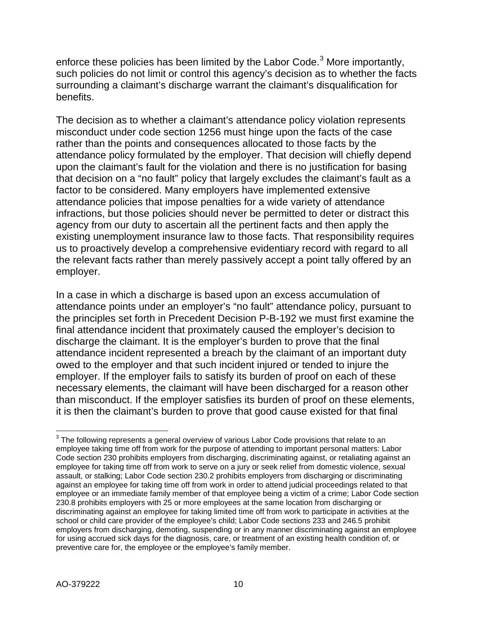enforce these policies has been limited by the Labor Code.<sup>[3](#page-9-0)</sup> More importantly, such policies do not limit or control this agency's decision as to whether the facts surrounding a claimant's discharge warrant the claimant's disqualification for benefits.

The decision as to whether a claimant's attendance policy violation represents misconduct under code section 1256 must hinge upon the facts of the case rather than the points and consequences allocated to those facts by the attendance policy formulated by the employer. That decision will chiefly depend upon the claimant's fault for the violation and there is no justification for basing that decision on a "no fault" policy that largely excludes the claimant's fault as a factor to be considered. Many employers have implemented extensive attendance policies that impose penalties for a wide variety of attendance infractions, but those policies should never be permitted to deter or distract this agency from our duty to ascertain all the pertinent facts and then apply the existing unemployment insurance law to those facts. That responsibility requires us to proactively develop a comprehensive evidentiary record with regard to all the relevant facts rather than merely passively accept a point tally offered by an employer.

In a case in which a discharge is based upon an excess accumulation of attendance points under an employer's "no fault" attendance policy, pursuant to the principles set forth in Precedent Decision P-B-192 we must first examine the final attendance incident that proximately caused the employer's decision to discharge the claimant. It is the employer's burden to prove that the final attendance incident represented a breach by the claimant of an important duty owed to the employer and that such incident injured or tended to injure the employer. If the employer fails to satisfy its burden of proof on each of these necessary elements, the claimant will have been discharged for a reason other than misconduct. If the employer satisfies its burden of proof on these elements, it is then the claimant's burden to prove that good cause existed for that final

<span id="page-9-0"></span> $\overline{a}$  $^3$  The following represents a general overview of various Labor Code provisions that relate to an employee taking time off from work for the purpose of attending to important personal matters: Labor Code section 230 prohibits employers from discharging, discriminating against, or retaliating against an employee for taking time off from work to serve on a jury or seek relief from domestic violence, sexual assault, or stalking; Labor Code section 230.2 prohibits employers from discharging or discriminating against an employee for taking time off from work in order to attend judicial proceedings related to that employee or an immediate family member of that employee being a victim of a crime; Labor Code section 230.8 prohibits employers with 25 or more employees at the same location from discharging or discriminating against an employee for taking limited time off from work to participate in activities at the school or child care provider of the employee's child; Labor Code sections 233 and 246.5 prohibit employers from discharging, demoting, suspending or in any manner discriminating against an employee for using accrued sick days for the diagnosis, care, or treatment of an existing health condition of, or preventive care for, the employee or the employee's family member.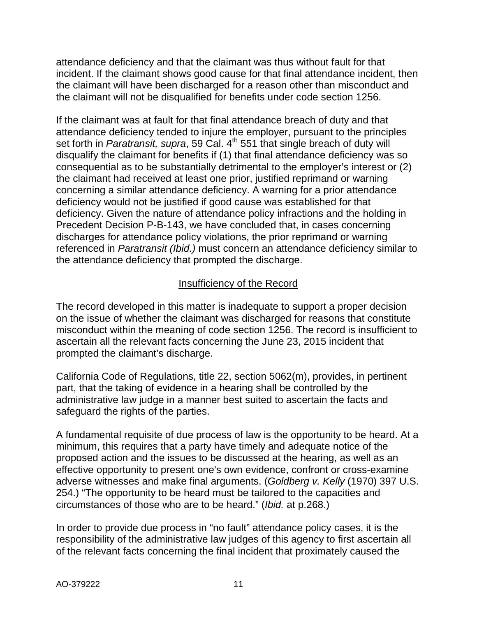attendance deficiency and that the claimant was thus without fault for that incident. If the claimant shows good cause for that final attendance incident, then the claimant will have been discharged for a reason other than misconduct and the claimant will not be disqualified for benefits under code section 1256.

If the claimant was at fault for that final attendance breach of duty and that attendance deficiency tended to injure the employer, pursuant to the principles set forth in *Paratransit, supra*, 59 Cal. 4<sup>th</sup> 551 that single breach of duty will disqualify the claimant for benefits if (1) that final attendance deficiency was so consequential as to be substantially detrimental to the employer's interest or (2) the claimant had received at least one prior, justified reprimand or warning concerning a similar attendance deficiency. A warning for a prior attendance deficiency would not be justified if good cause was established for that deficiency. Given the nature of attendance policy infractions and the holding in Precedent Decision P-B-143, we have concluded that, in cases concerning discharges for attendance policy violations, the prior reprimand or warning referenced in *Paratransit (Ibid.)* must concern an attendance deficiency similar to the attendance deficiency that prompted the discharge.

## Insufficiency of the Record

The record developed in this matter is inadequate to support a proper decision on the issue of whether the claimant was discharged for reasons that constitute misconduct within the meaning of code section 1256. The record is insufficient to ascertain all the relevant facts concerning the June 23, 2015 incident that prompted the claimant's discharge.

California Code of Regulations, title 22, section 5062(m), provides, in pertinent part, that the taking of evidence in a hearing shall be controlled by the administrative law judge in a manner best suited to ascertain the facts and safeguard the rights of the parties.

A fundamental requisite of due process of law is the opportunity to be heard. At a minimum, this requires that a party have timely and adequate notice of the proposed action and the issues to be discussed at the hearing, as well as an effective opportunity to present one's own evidence, confront or cross-examine adverse witnesses and make final arguments. (*Goldberg v. Kelly* (1970) 397 U.S. 254.) "The opportunity to be heard must be tailored to the capacities and circumstances of those who are to be heard." (*Ibid.* at p.268.)

In order to provide due process in "no fault" attendance policy cases, it is the responsibility of the administrative law judges of this agency to first ascertain all of the relevant facts concerning the final incident that proximately caused the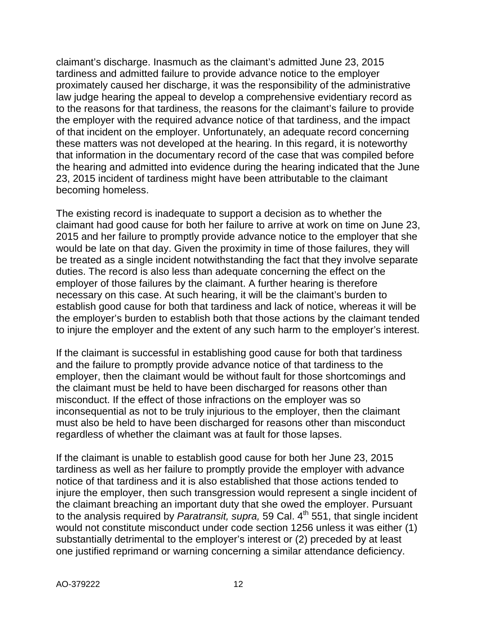claimant's discharge. Inasmuch as the claimant's admitted June 23, 2015 tardiness and admitted failure to provide advance notice to the employer proximately caused her discharge, it was the responsibility of the administrative law judge hearing the appeal to develop a comprehensive evidentiary record as to the reasons for that tardiness, the reasons for the claimant's failure to provide the employer with the required advance notice of that tardiness, and the impact of that incident on the employer. Unfortunately, an adequate record concerning these matters was not developed at the hearing. In this regard, it is noteworthy that information in the documentary record of the case that was compiled before the hearing and admitted into evidence during the hearing indicated that the June 23, 2015 incident of tardiness might have been attributable to the claimant becoming homeless.

The existing record is inadequate to support a decision as to whether the claimant had good cause for both her failure to arrive at work on time on June 23, 2015 and her failure to promptly provide advance notice to the employer that she would be late on that day. Given the proximity in time of those failures, they will be treated as a single incident notwithstanding the fact that they involve separate duties. The record is also less than adequate concerning the effect on the employer of those failures by the claimant. A further hearing is therefore necessary on this case. At such hearing, it will be the claimant's burden to establish good cause for both that tardiness and lack of notice, whereas it will be the employer's burden to establish both that those actions by the claimant tended to injure the employer and the extent of any such harm to the employer's interest.

If the claimant is successful in establishing good cause for both that tardiness and the failure to promptly provide advance notice of that tardiness to the employer, then the claimant would be without fault for those shortcomings and the claimant must be held to have been discharged for reasons other than misconduct. If the effect of those infractions on the employer was so inconsequential as not to be truly injurious to the employer, then the claimant must also be held to have been discharged for reasons other than misconduct regardless of whether the claimant was at fault for those lapses.

If the claimant is unable to establish good cause for both her June 23, 2015 tardiness as well as her failure to promptly provide the employer with advance notice of that tardiness and it is also established that those actions tended to injure the employer, then such transgression would represent a single incident of the claimant breaching an important duty that she owed the employer. Pursuant to the analysis required by *Paratransit, supra,* 59 Cal. 4<sup>th</sup> 551, that single incident would not constitute misconduct under code section 1256 unless it was either (1) substantially detrimental to the employer's interest or (2) preceded by at least one justified reprimand or warning concerning a similar attendance deficiency.